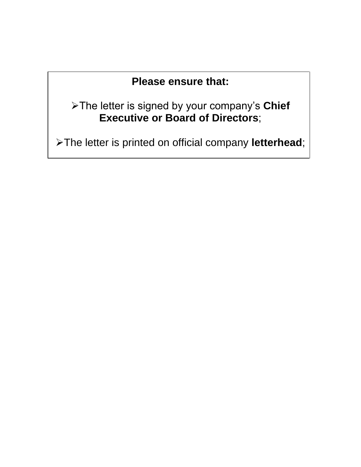## **Please ensure that:**

➢The letter is signed by your company's **Chief Executive or Board of Directors**;

➢The letter is printed on official company **letterhead**;